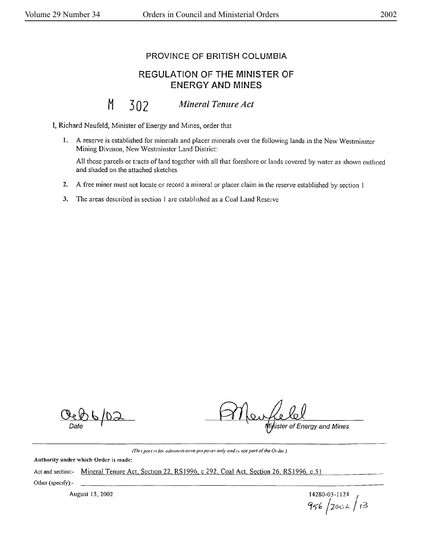## PROVINCE OF BRITISH COLUMBIA

## REGULATION OF THE MINISTER OF ENERGY AND MINES

## M 302 Mineral Tenure Act

I, Richard Neufeld, Minister of Energy and Mines, order that

**l. A** reserve is established for minerals and placer minerals over the following lands in the New Westminster Mining Division, New Westminster Land District:

All those parcels or tracts of land together with all that foreshore or lands covered by water as shown outlmed and shaded on the attached sketches

- **2. A** free miner must not locate or record a mineral or placer claim in the reserve established by section I
- 3. The areas described in section I are established as a Coal Land Reserve

Ceb6/D3

**ALL ALL**<br>Ripister of Energy and Mines

*(This part is for administrative pm poses only and is not part of the Order*)

**Authority under which Order is made:** 

Act and section:- Mineral Tenure Act. Section 22, RS 1996, c 292, Coal Act. Section 26, RS 1996, c.51

Other (specify):-

August 15, 2002 **14280-03** Gj~(, /200)... *t3*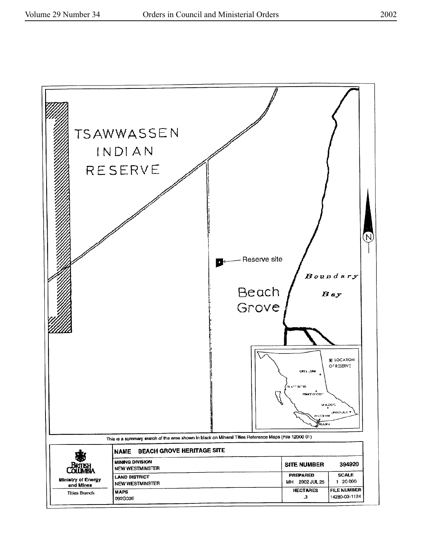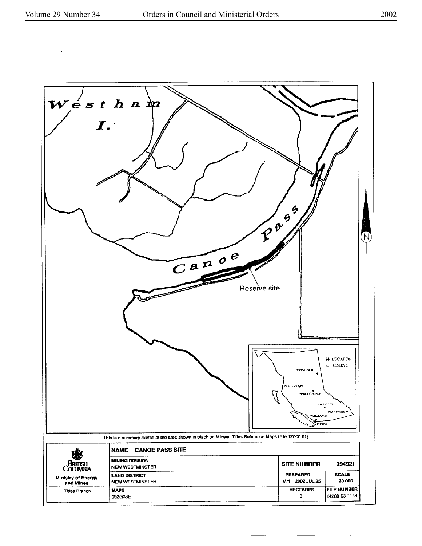

 $\overline{\phantom{a}}$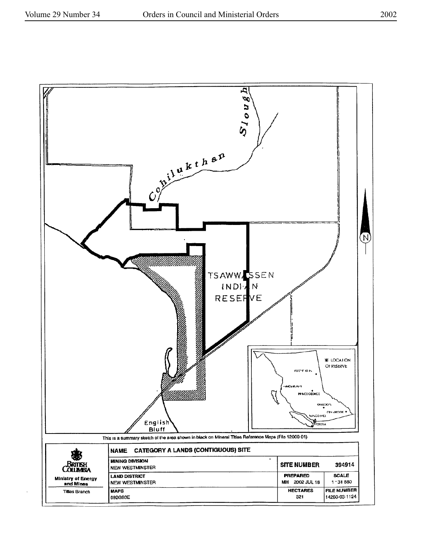